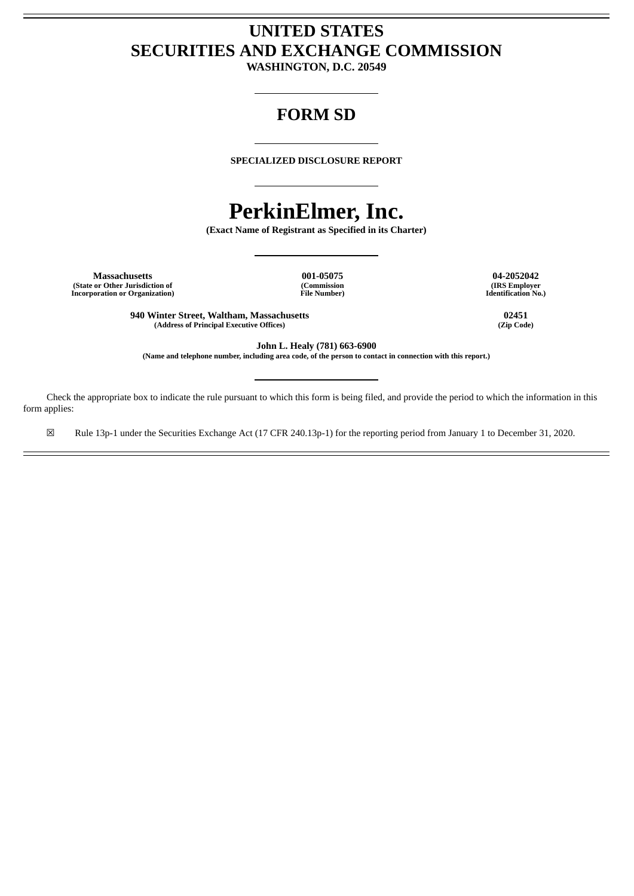# **UNITED STATES SECURITIES AND EXCHANGE COMMISSION**

**WASHINGTON, D.C. 20549**

# **FORM SD**

**SPECIALIZED DISCLOSURE REPORT**

# **PerkinElmer, Inc.**

**(Exact Name of Registrant as Specified in its Charter)**

**Massachusetts 001-05075 04-2052042 (State or Other Jurisdiction of Incorporation or Organization)**

**(Commission File Number)**

**(IRS Employer Identification No.)**

**940 Winter Street, Waltham, Massachusetts 02451 (Address of Principal Executive Offices) (Zip Code)**

**John L. Healy (781) 663-6900**

(Name and telephone number, including area code, of the person to contact in connection with this report.)

Check the appropriate box to indicate the rule pursuant to which this form is being filed, and provide the period to which the information in this form applies:

☒ Rule 13p-1 under the Securities Exchange Act (17 CFR 240.13p-1) for the reporting period from January 1 to December 31, 2020.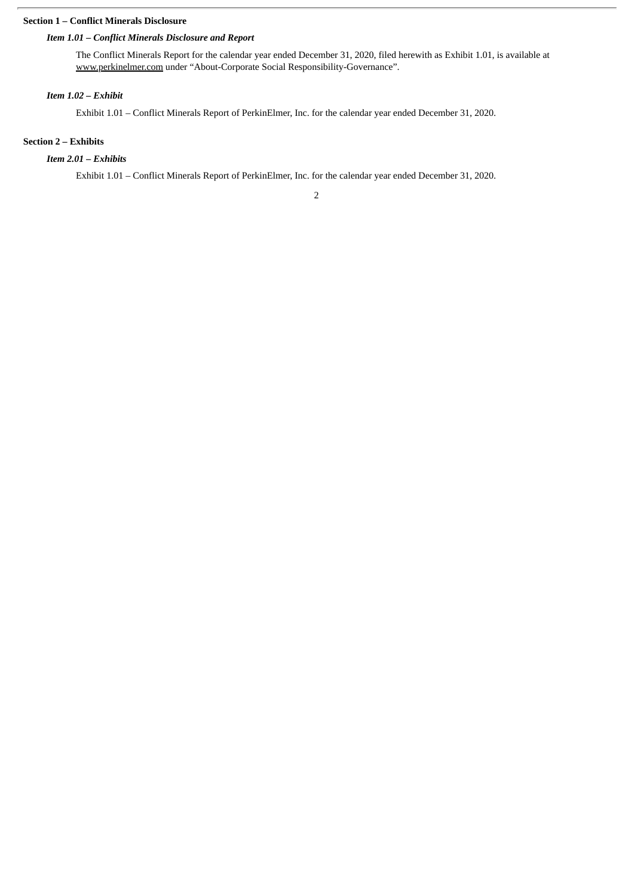# **Section 1 – Conflict Minerals Disclosure**

## *Item 1.01 – Conflict Minerals Disclosure and Report*

The Conflict Minerals Report for the calendar year ended December 31, 2020, filed herewith as Exhibit 1.01, is available at www.perkinelmer.com under "About-Corporate Social Responsibility-Governance".

## *Item 1.02 – Exhibit*

Exhibit 1.01 – Conflict Minerals Report of PerkinElmer, Inc. for the calendar year ended December 31, 2020.

## **Section 2 – Exhibits**

# *Item 2.01 – Exhibits*

Exhibit 1.01 – Conflict Minerals Report of PerkinElmer, Inc. for the calendar year ended December 31, 2020.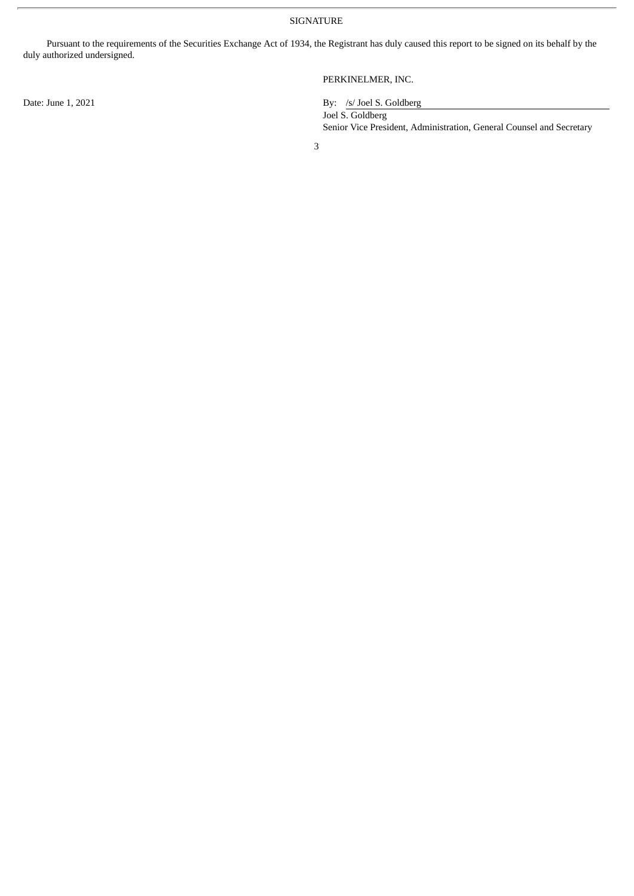SIGNATURE

Pursuant to the requirements of the Securities Exchange Act of 1934, the Registrant has duly caused this report to be signed on its behalf by the duly authorized undersigned.

PERKINELMER, INC.

Date: June 1, 2021 By: /s/ Joel S. Goldberg

Joel S. Goldberg Senior Vice President, Administration, General Counsel and Secretary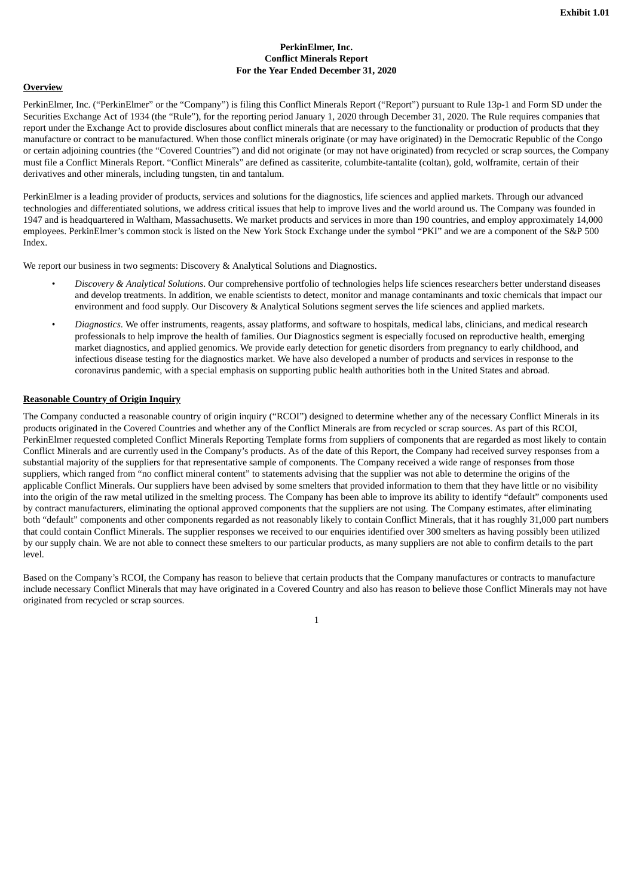#### **PerkinElmer, Inc. Conflict Minerals Report For the Year Ended December 31, 2020**

#### **Overview**

PerkinElmer, Inc. ("PerkinElmer" or the "Company") is filing this Conflict Minerals Report ("Report") pursuant to Rule 13p-1 and Form SD under the Securities Exchange Act of 1934 (the "Rule"), for the reporting period January 1, 2020 through December 31, 2020. The Rule requires companies that report under the Exchange Act to provide disclosures about conflict minerals that are necessary to the functionality or production of products that they manufacture or contract to be manufactured. When those conflict minerals originate (or may have originated) in the Democratic Republic of the Congo or certain adjoining countries (the "Covered Countries") and did not originate (or may not have originated) from recycled or scrap sources, the Company must file a Conflict Minerals Report. "Conflict Minerals" are defined as cassiterite, columbite-tantalite (coltan), gold, wolframite, certain of their derivatives and other minerals, including tungsten, tin and tantalum.

PerkinElmer is a leading provider of products, services and solutions for the diagnostics, life sciences and applied markets. Through our advanced technologies and differentiated solutions, we address critical issues that help to improve lives and the world around us. The Company was founded in 1947 and is headquartered in Waltham, Massachusetts. We market products and services in more than 190 countries, and employ approximately 14,000 employees. PerkinElmer's common stock is listed on the New York Stock Exchange under the symbol "PKI" and we are a component of the S&P 500 Index.

We report our business in two segments: Discovery & Analytical Solutions and Diagnostics.

- *Discovery & Analytical Solutions*. Our comprehensive portfolio of technologies helps life sciences researchers better understand diseases and develop treatments. In addition, we enable scientists to detect, monitor and manage contaminants and toxic chemicals that impact our environment and food supply. Our Discovery & Analytical Solutions segment serves the life sciences and applied markets.
- *Diagnostics*. We offer instruments, reagents, assay platforms, and software to hospitals, medical labs, clinicians, and medical research professionals to help improve the health of families. Our Diagnostics segment is especially focused on reproductive health, emerging market diagnostics, and applied genomics. We provide early detection for genetic disorders from pregnancy to early childhood, and infectious disease testing for the diagnostics market. We have also developed a number of products and services in response to the coronavirus pandemic, with a special emphasis on supporting public health authorities both in the United States and abroad.

#### **Reasonable Country of Origin Inquiry**

The Company conducted a reasonable country of origin inquiry ("RCOI") designed to determine whether any of the necessary Conflict Minerals in its products originated in the Covered Countries and whether any of the Conflict Minerals are from recycled or scrap sources. As part of this RCOI, PerkinElmer requested completed Conflict Minerals Reporting Template forms from suppliers of components that are regarded as most likely to contain Conflict Minerals and are currently used in the Company's products. As of the date of this Report, the Company had received survey responses from a substantial majority of the suppliers for that representative sample of components. The Company received a wide range of responses from those suppliers, which ranged from "no conflict mineral content" to statements advising that the supplier was not able to determine the origins of the applicable Conflict Minerals. Our suppliers have been advised by some smelters that provided information to them that they have little or no visibility into the origin of the raw metal utilized in the smelting process. The Company has been able to improve its ability to identify "default" components used by contract manufacturers, eliminating the optional approved components that the suppliers are not using. The Company estimates, after eliminating both "default" components and other components regarded as not reasonably likely to contain Conflict Minerals, that it has roughly 31,000 part numbers that could contain Conflict Minerals. The supplier responses we received to our enquiries identified over 300 smelters as having possibly been utilized by our supply chain. We are not able to connect these smelters to our particular products, as many suppliers are not able to confirm details to the part level.

Based on the Company's RCOI, the Company has reason to believe that certain products that the Company manufactures or contracts to manufacture include necessary Conflict Minerals that may have originated in a Covered Country and also has reason to believe those Conflict Minerals may not have originated from recycled or scrap sources.

1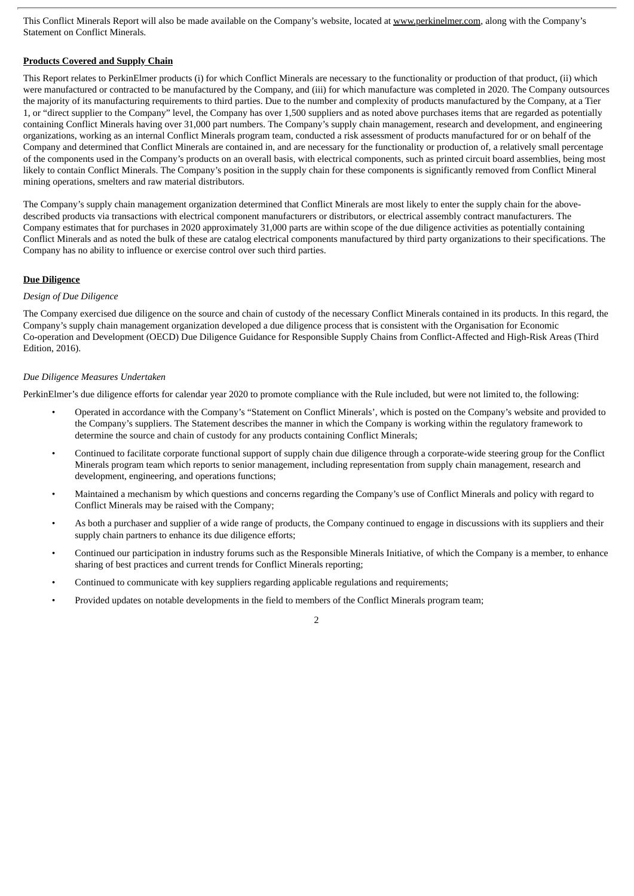This Conflict Minerals Report will also be made available on the Company's website, located at www.perkinelmer.com, along with the Company's Statement on Conflict Minerals.

#### **Products Covered and Supply Chain**

This Report relates to PerkinElmer products (i) for which Conflict Minerals are necessary to the functionality or production of that product, (ii) which were manufactured or contracted to be manufactured by the Company, and (iii) for which manufacture was completed in 2020. The Company outsources the majority of its manufacturing requirements to third parties. Due to the number and complexity of products manufactured by the Company, at a Tier 1, or "direct supplier to the Company" level, the Company has over 1,500 suppliers and as noted above purchases items that are regarded as potentially containing Conflict Minerals having over 31,000 part numbers. The Company's supply chain management, research and development, and engineering organizations, working as an internal Conflict Minerals program team, conducted a risk assessment of products manufactured for or on behalf of the Company and determined that Conflict Minerals are contained in, and are necessary for the functionality or production of, a relatively small percentage of the components used in the Company's products on an overall basis, with electrical components, such as printed circuit board assemblies, being most likely to contain Conflict Minerals. The Company's position in the supply chain for these components is significantly removed from Conflict Mineral mining operations, smelters and raw material distributors.

The Company's supply chain management organization determined that Conflict Minerals are most likely to enter the supply chain for the abovedescribed products via transactions with electrical component manufacturers or distributors, or electrical assembly contract manufacturers. The Company estimates that for purchases in 2020 approximately 31,000 parts are within scope of the due diligence activities as potentially containing Conflict Minerals and as noted the bulk of these are catalog electrical components manufactured by third party organizations to their specifications. The Company has no ability to influence or exercise control over such third parties.

#### **Due Diligence**

#### *Design of Due Diligence*

The Company exercised due diligence on the source and chain of custody of the necessary Conflict Minerals contained in its products. In this regard, the Company's supply chain management organization developed a due diligence process that is consistent with the Organisation for Economic Co-operation and Development (OECD) Due Diligence Guidance for Responsible Supply Chains from Conflict-Affected and High-Risk Areas (Third Edition, 2016).

#### *Due Diligence Measures Undertaken*

PerkinElmer's due diligence efforts for calendar year 2020 to promote compliance with the Rule included, but were not limited to, the following:

- Operated in accordance with the Company's "Statement on Conflict Minerals', which is posted on the Company's website and provided to the Company's suppliers. The Statement describes the manner in which the Company is working within the regulatory framework to determine the source and chain of custody for any products containing Conflict Minerals;
- Continued to facilitate corporate functional support of supply chain due diligence through a corporate-wide steering group for the Conflict Minerals program team which reports to senior management, including representation from supply chain management, research and development, engineering, and operations functions;
- Maintained a mechanism by which questions and concerns regarding the Company's use of Conflict Minerals and policy with regard to Conflict Minerals may be raised with the Company;
- As both a purchaser and supplier of a wide range of products, the Company continued to engage in discussions with its suppliers and their supply chain partners to enhance its due diligence efforts;
- Continued our participation in industry forums such as the Responsible Minerals Initiative, of which the Company is a member, to enhance sharing of best practices and current trends for Conflict Minerals reporting;
- Continued to communicate with key suppliers regarding applicable regulations and requirements;
- Provided updates on notable developments in the field to members of the Conflict Minerals program team;

#### 2